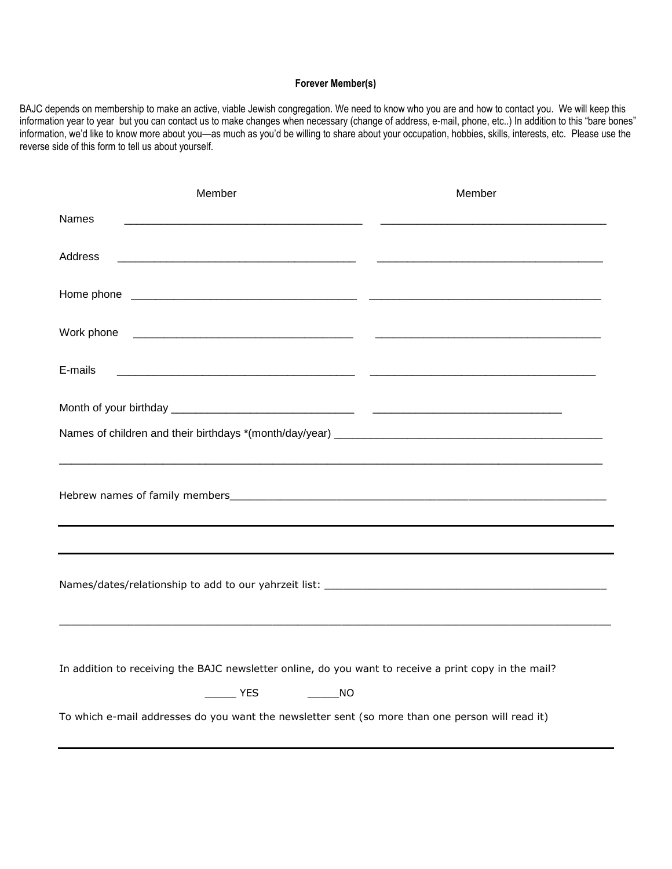## **Forever Member(s)**

BAJC depends on membership to make an active, viable Jewish congregation. We need to know who you are and how to contact you. We will keep this information year to year but you can contact us to make changes when necessary (change of address, e-mail, phone, etc..) In addition to this "bare bones" information, we'd like to know more about you—as much as you'd be willing to share about your occupation, hobbies, skills, interests, etc. Please use the reverse side of this form to tell us about yourself.

| Member                                                                                                                             | Member |
|------------------------------------------------------------------------------------------------------------------------------------|--------|
| <b>Names</b>                                                                                                                       |        |
| Address<br><u> 2000 - Andrea Andrewski, amerikan bizi da bizi da bizi da bizi da bizi da bizi da bizi da bizi da bizi da bi</u>    |        |
|                                                                                                                                    |        |
| Work phone<br><u> 1980 - Jan James James James James James James James James James James James James James James James James J</u> |        |
| E-mails                                                                                                                            |        |
|                                                                                                                                    |        |
|                                                                                                                                    |        |
|                                                                                                                                    |        |
|                                                                                                                                    |        |
|                                                                                                                                    |        |
|                                                                                                                                    |        |
| In addition to receiving the BAJC newsletter online, do you want to receive a print copy in the mail?                              |        |
| <b>EXAMPLE YES</b>                                                                                                                 |        |
| To which e-mail addresses do you want the newsletter sent (so more than one person will read it)                                   |        |
|                                                                                                                                    |        |